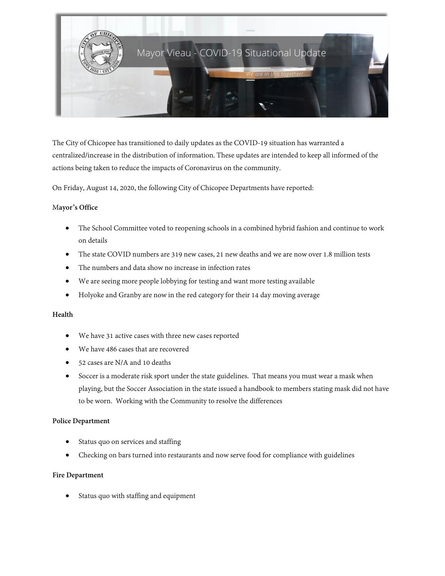

The City of Chicopee has transitioned to daily updates as the COVID-19 situation has warranted a centralized/increase in the distribution of information. These updates are intended to keep all informed of the actions being taken to reduce the impacts of Coronavirus on the community.

On Friday, August 14, 2020, the following City of Chicopee Departments have reported:

### M**ayor's Office**

- The School Committee voted to reopening schools in a combined hybrid fashion and continue to work on details
- The state COVID numbers are 319 new cases, 21 new deaths and we are now over 1.8 million tests
- The numbers and data show no increase in infection rates
- We are seeing more people lobbying for testing and want more testing available
- Holyoke and Granby are now in the red category for their 14 day moving average

## **Health**

- We have 31 active cases with three new cases reported
- We have 486 cases that are recovered
- 52 cases are N/A and 10 deaths
- Soccer is a moderate risk sport under the state guidelines. That means you must wear a mask when playing, but the Soccer Association in the state issued a handbook to members stating mask did not have to be worn. Working with the Community to resolve the differences

#### **Police Department**

- Status quo on services and staffing
- Checking on bars turned into restaurants and now serve food for compliance with guidelines

#### **Fire Department**

• Status quo with staffing and equipment